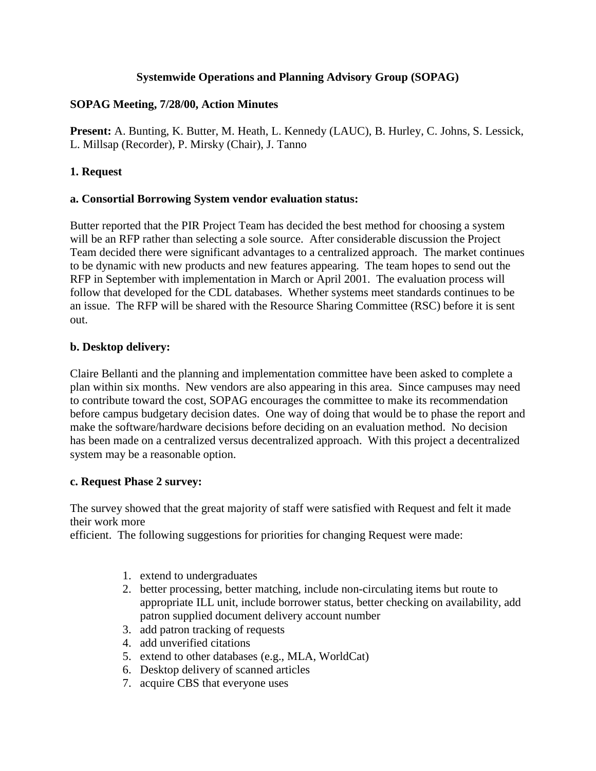### **Systemwide Operations and Planning Advisory Group (SOPAG)**

## **SOPAG Meeting, 7/28/00, Action Minutes**

**Present:** A. Bunting, K. Butter, M. Heath, L. Kennedy (LAUC), B. Hurley, C. Johns, S. Lessick, L. Millsap (Recorder), P. Mirsky (Chair), J. Tanno

## **1. Request**

### **a. Consortial Borrowing System vendor evaluation status:**

Butter reported that the PIR Project Team has decided the best method for choosing a system will be an RFP rather than selecting a sole source. After considerable discussion the Project Team decided there were significant advantages to a centralized approach. The market continues to be dynamic with new products and new features appearing. The team hopes to send out the RFP in September with implementation in March or April 2001. The evaluation process will follow that developed for the CDL databases. Whether systems meet standards continues to be an issue. The RFP will be shared with the Resource Sharing Committee (RSC) before it is sent out.

### **b. Desktop delivery:**

Claire Bellanti and the planning and implementation committee have been asked to complete a plan within six months. New vendors are also appearing in this area. Since campuses may need to contribute toward the cost, SOPAG encourages the committee to make its recommendation before campus budgetary decision dates. One way of doing that would be to phase the report and make the software/hardware decisions before deciding on an evaluation method. No decision has been made on a centralized versus decentralized approach. With this project a decentralized system may be a reasonable option.

### **c. Request Phase 2 survey:**

The survey showed that the great majority of staff were satisfied with Request and felt it made their work more

efficient. The following suggestions for priorities for changing Request were made:

- 1. extend to undergraduates
- 2. better processing, better matching, include non-circulating items but route to appropriate ILL unit, include borrower status, better checking on availability, add patron supplied document delivery account number
- 3. add patron tracking of requests
- 4. add unverified citations
- 5. extend to other databases (e.g., MLA, WorldCat)
- 6. Desktop delivery of scanned articles
- 7. acquire CBS that everyone uses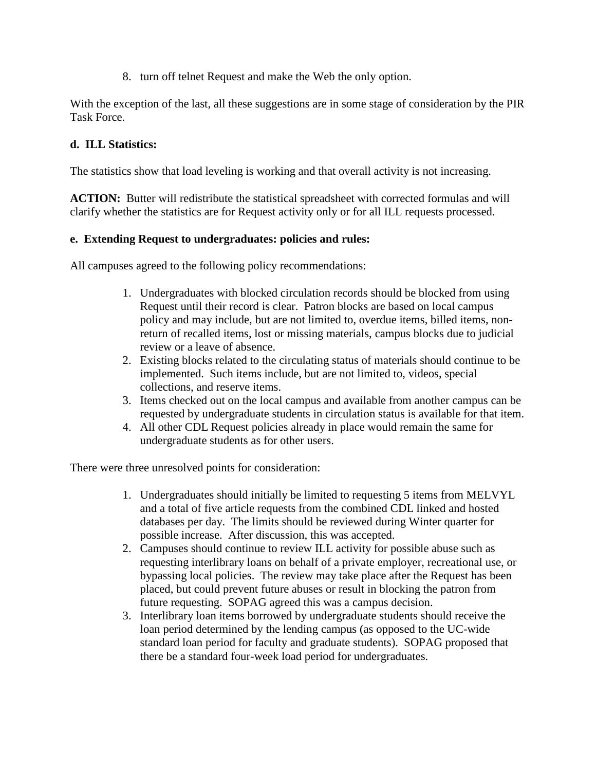8. turn off telnet Request and make the Web the only option.

With the exception of the last, all these suggestions are in some stage of consideration by the PIR Task Force.

### **d. ILL Statistics:**

The statistics show that load leveling is working and that overall activity is not increasing.

**ACTION:** Butter will redistribute the statistical spreadsheet with corrected formulas and will clarify whether the statistics are for Request activity only or for all ILL requests processed.

### **e. Extending Request to undergraduates: policies and rules:**

All campuses agreed to the following policy recommendations:

- 1. Undergraduates with blocked circulation records should be blocked from using Request until their record is clear. Patron blocks are based on local campus policy and may include, but are not limited to, overdue items, billed items, nonreturn of recalled items, lost or missing materials, campus blocks due to judicial review or a leave of absence.
- 2. Existing blocks related to the circulating status of materials should continue to be implemented. Such items include, but are not limited to, videos, special collections, and reserve items.
- 3. Items checked out on the local campus and available from another campus can be requested by undergraduate students in circulation status is available for that item.
- 4. All other CDL Request policies already in place would remain the same for undergraduate students as for other users.

There were three unresolved points for consideration:

- 1. Undergraduates should initially be limited to requesting 5 items from MELVYL and a total of five article requests from the combined CDL linked and hosted databases per day. The limits should be reviewed during Winter quarter for possible increase. After discussion, this was accepted.
- 2. Campuses should continue to review ILL activity for possible abuse such as requesting interlibrary loans on behalf of a private employer, recreational use, or bypassing local policies. The review may take place after the Request has been placed, but could prevent future abuses or result in blocking the patron from future requesting. SOPAG agreed this was a campus decision.
- 3. Interlibrary loan items borrowed by undergraduate students should receive the loan period determined by the lending campus (as opposed to the UC-wide standard loan period for faculty and graduate students). SOPAG proposed that there be a standard four-week load period for undergraduates.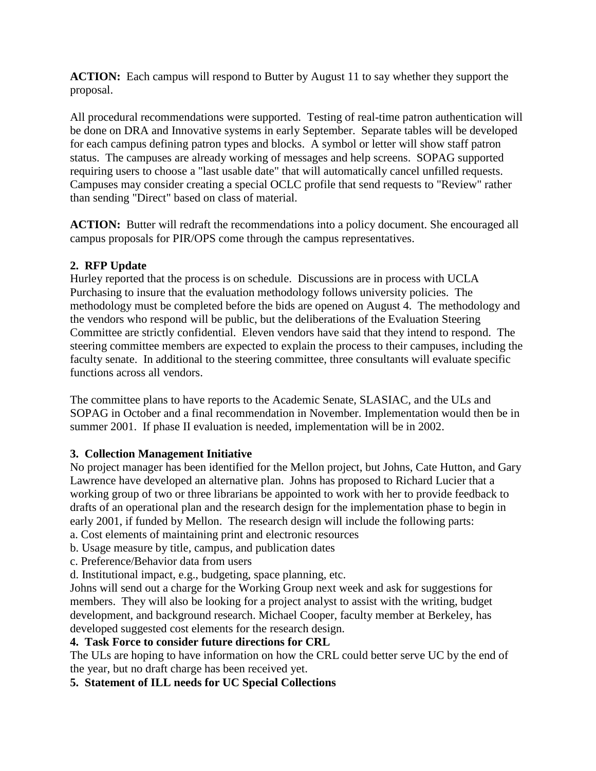**ACTION:** Each campus will respond to Butter by August 11 to say whether they support the proposal.

All procedural recommendations were supported. Testing of real-time patron authentication will be done on DRA and Innovative systems in early September. Separate tables will be developed for each campus defining patron types and blocks. A symbol or letter will show staff patron status. The campuses are already working of messages and help screens. SOPAG supported requiring users to choose a "last usable date" that will automatically cancel unfilled requests. Campuses may consider creating a special OCLC profile that send requests to "Review" rather than sending "Direct" based on class of material.

**ACTION:** Butter will redraft the recommendations into a policy document. She encouraged all campus proposals for PIR/OPS come through the campus representatives.

# **2. RFP Update**

Hurley reported that the process is on schedule. Discussions are in process with UCLA Purchasing to insure that the evaluation methodology follows university policies. The methodology must be completed before the bids are opened on August 4. The methodology and the vendors who respond will be public, but the deliberations of the Evaluation Steering Committee are strictly confidential. Eleven vendors have said that they intend to respond. The steering committee members are expected to explain the process to their campuses, including the faculty senate. In additional to the steering committee, three consultants will evaluate specific functions across all vendors.

The committee plans to have reports to the Academic Senate, SLASIAC, and the ULs and SOPAG in October and a final recommendation in November. Implementation would then be in summer 2001. If phase II evaluation is needed, implementation will be in 2002.

### **3. Collection Management Initiative**

No project manager has been identified for the Mellon project, but Johns, Cate Hutton, and Gary Lawrence have developed an alternative plan. Johns has proposed to Richard Lucier that a working group of two or three librarians be appointed to work with her to provide feedback to drafts of an operational plan and the research design for the implementation phase to begin in early 2001, if funded by Mellon. The research design will include the following parts:

- a. Cost elements of maintaining print and electronic resources
- b. Usage measure by title, campus, and publication dates
- c. Preference/Behavior data from users
- d. Institutional impact, e.g., budgeting, space planning, etc.

Johns will send out a charge for the Working Group next week and ask for suggestions for members. They will also be looking for a project analyst to assist with the writing, budget development, and background research. Michael Cooper, faculty member at Berkeley, has developed suggested cost elements for the research design.

### **4. Task Force to consider future directions for CRL**

The ULs are hoping to have information on how the CRL could better serve UC by the end of the year, but no draft charge has been received yet.

# **5. Statement of ILL needs for UC Special Collections**